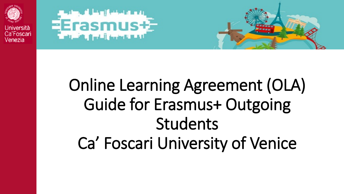

Ca'Foscari Venezia





# Online Learning Agreement (OLA) Guide for Erasmus+ Outgoing Students Ca' Foscari University of Venice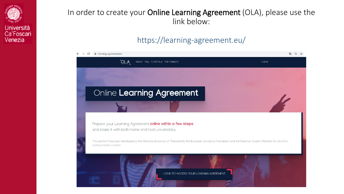

#### In order to create your Online Learning Agreement (OLA), please use the link below:

#### https://learning-agreement.eu/

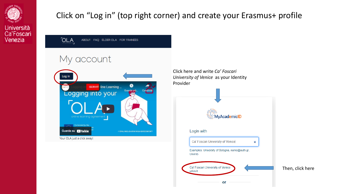

#### Click on "Log in" (top right corner) and create your Erasmus+ profile

**OLA** ABOUT FAQ ELDER OLA FOR TRANEES

### My account



Click here and write *Ca' Foscari University of Venice* as your Identity Provider

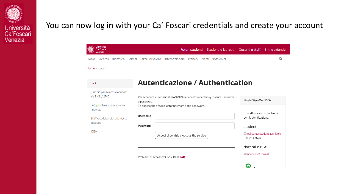

#### You can now log in with your Ca' Foscari credentials and create your account

| Università<br>Ca' Foscari<br>Venezia         | Futuri studenti Studenti e laureati Docenti e staff Enti e aziende                    |                                                                 |
|----------------------------------------------|---------------------------------------------------------------------------------------|-----------------------------------------------------------------|
|                                              | Home Ricerca Didattica Servizi Terza Missione Internazionale Ateneo Eventi Sostienici | Q -                                                             |
| Home / Login                                 |                                                                                       |                                                                 |
| Login                                        | <b>Autenticazione / Authentication</b>                                                |                                                                 |
| Cambio password o recupero<br>via SMS / SPID | Per accedere al servizio #ERASMUS Service Provider Proxy inserire username            |                                                                 |
| FAQ problemi accesso area<br>riservata       | e password.<br>To access the service, enter username and password.                    | Single Sign-On (SSO)                                            |
| Staff e collaboratori: richiesta<br>account  | Username                                                                              | Contatti in caso di problemi<br>con l'autenticazione:           |
| <b>IDEM</b>                                  | Password<br>Accedi al servizio / Access the service                                   | studenti:<br><b>Exalcenterstudenti@unive.it</b><br>041 234 7575 |
|                                              |                                                                                       | docenti e PTA:                                                  |
|                                              | Problemi di accesso? Consulta le FAO.                                                 | account@unive.it<br>$\bullet$                                   |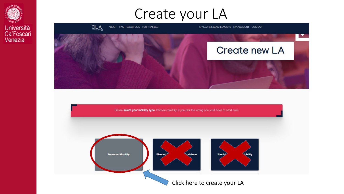





Please select your mobility type. Choose carefully, if you pick the wrong one you'll have to start over.

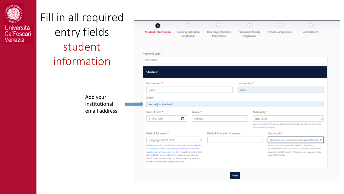

## Fill in all required entry fields student information

Add your institutional email address

| <b>Student Information</b>                                                                                                                                                                                                                       | Sending Institution<br>Information                         |         | Receiving Institution<br>Information | <b>Proposed Mobility</b><br>Programme |                          | <b>Virtual Components</b>                                                                                                                                                                                 | Commitment |
|--------------------------------------------------------------------------------------------------------------------------------------------------------------------------------------------------------------------------------------------------|------------------------------------------------------------|---------|--------------------------------------|---------------------------------------|--------------------------|-----------------------------------------------------------------------------------------------------------------------------------------------------------------------------------------------------------|------------|
| Academic year *                                                                                                                                                                                                                                  |                                                            |         |                                      |                                       |                          |                                                                                                                                                                                                           |            |
| 2022/2023                                                                                                                                                                                                                                        |                                                            |         |                                      |                                       |                          |                                                                                                                                                                                                           |            |
| <b>Student</b>                                                                                                                                                                                                                                   |                                                            |         |                                      |                                       |                          |                                                                                                                                                                                                           |            |
| First name(s) *                                                                                                                                                                                                                                  |                                                            |         |                                      | Last name(s) *                        |                          |                                                                                                                                                                                                           |            |
| Giulia                                                                                                                                                                                                                                           |                                                            |         |                                      | Rossi                                 |                          |                                                                                                                                                                                                           |            |
| Email <sup>*</sup>                                                                                                                                                                                                                               |                                                            |         |                                      |                                       |                          |                                                                                                                                                                                                           |            |
| xxxxxx@stud.unive.it                                                                                                                                                                                                                             |                                                            |         |                                      |                                       |                          |                                                                                                                                                                                                           |            |
| Date of birth *                                                                                                                                                                                                                                  |                                                            | Gender* |                                      |                                       | Nationality *            |                                                                                                                                                                                                           |            |
| 01/01/1990                                                                                                                                                                                                                                       | ▭                                                          | Female  |                                      | ÷                                     | Italy (313)              |                                                                                                                                                                                                           |            |
|                                                                                                                                                                                                                                                  |                                                            |         |                                      |                                       | ID card and/or passport. | Country to which the person belongs administratively and that issues the                                                                                                                                  |            |
| Field of Education *                                                                                                                                                                                                                             |                                                            |         | <b>Field of Education Comment</b>    |                                       |                          | Study cycle *                                                                                                                                                                                             |            |
| Languages (023) (752)                                                                                                                                                                                                                            |                                                            |         |                                      |                                       |                          | Bachelor or equivalent first cycle (EQF lew #                                                                                                                                                             |            |
| Field of education: The ISCED-F 2013 search tool available<br>at http://ec.europa.eu/education/international-standard-<br>classification-of-education-isced en should be used to find<br>the ISCED 2013 detailed field of education and training | that is closest to the subject of the degree to be awarded |         |                                      |                                       |                          | Study cycle: Short cycle (EQF level S) / Bachelor or<br>equivalent first cycle (EQF level 6) / Master or equivalent<br>second cycle (EQF level 7) / Doctorate or equivalent third<br>cycle (EQF level 8). |            |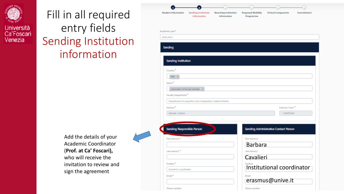

## Fill in all required entry fields Sending Institution information

Add the details of your Academic Coordinator (**Prof. at Ca' Foscari),**  who will receive the invitation to review and sign the agreement

|                                   | ă.                                                         |                                      |                                       |                                       |            |
|-----------------------------------|------------------------------------------------------------|--------------------------------------|---------------------------------------|---------------------------------------|------------|
| Student Information               | Sending Institution<br>Information:                        | Receiving Institution<br>Information | <b>Proposed Mobility</b><br>Programme | <b>Virtual Components</b>             | Commitment |
| Academic year."                   |                                                            |                                      |                                       |                                       |            |
| 2022/2023                         |                                                            |                                      |                                       |                                       |            |
|                                   |                                                            |                                      |                                       |                                       |            |
| <b>Sanding</b>                    |                                                            |                                      |                                       |                                       |            |
|                                   |                                                            |                                      |                                       |                                       |            |
| <b>Sending Institution</b>        |                                                            |                                      |                                       |                                       |            |
| Country <sup>®</sup>              |                                                            |                                      |                                       |                                       |            |
| Italy or                          |                                                            |                                      |                                       |                                       |            |
| Name <sup>1</sup>                 |                                                            |                                      |                                       |                                       |            |
|                                   | Universita Ca'Foscari Venezia x                            |                                      |                                       |                                       |            |
| Faculty/Department                |                                                            |                                      |                                       |                                       |            |
|                                   | Department of Linguictics and Comparative Cultural Studies |                                      |                                       |                                       |            |
| Address <sup>®</sup>              |                                                            |                                      |                                       | Estemus Code <sup>1</sup>             |            |
| Venezia / Venice                  |                                                            |                                      |                                       | I VENEZIAR1                           |            |
|                                   |                                                            |                                      |                                       |                                       |            |
| <b>Sending Responsible Person</b> |                                                            |                                      |                                       | Sending Administrative Contact Person |            |
|                                   |                                                            |                                      |                                       |                                       |            |
| First name(d) **                  |                                                            |                                      | First aame(c)<br><b>Barbara</b>       |                                       |            |
| Last name(d)                      |                                                            |                                      |                                       |                                       |            |
|                                   |                                                            |                                      | Last name(s)<br>Cavalieri             |                                       |            |
| Position."                        |                                                            |                                      | <b>Braziliana</b>                     |                                       |            |
| Academic coordinator              |                                                            |                                      |                                       | Institutional coordinator             |            |
| Gmail <sup>te</sup>               |                                                            |                                      | <b>Smail</b>                          |                                       |            |
|                                   |                                                            |                                      |                                       | erasmus@unive.it                      |            |
|                                   |                                                            |                                      |                                       |                                       |            |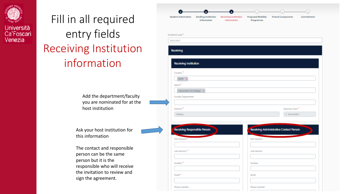

## Fill in all required entry fields Receiving Institution information

Add the department/faculty you are nominated for at the host institution

Ask your host institution for this information

The contact and responsible person can be the same person but it is the responsible who will receive the invitation to review and sign the agreement.

| Student Information          | Sending Institution<br>Information | Receiving Institution<br>Information | <b>Proposed Mobility</b><br>Programme | Virtual Components                      | Commitment |
|------------------------------|------------------------------------|--------------------------------------|---------------------------------------|-----------------------------------------|------------|
|                              |                                    |                                      |                                       |                                         |            |
|                              |                                    |                                      |                                       |                                         |            |
| Academic year."<br>2022/2023 |                                    |                                      |                                       |                                         |            |
|                              |                                    |                                      |                                       |                                         |            |
| Receiving                    |                                    |                                      |                                       |                                         |            |
|                              |                                    |                                      |                                       |                                         |            |
| Receiving Institution        |                                    |                                      |                                       |                                         |            |
| Country <sup>®</sup>         |                                    |                                      |                                       |                                         |            |
| Spain x                      |                                    |                                      |                                       |                                         |            |
| Name <sup>1</sup>            |                                    |                                      |                                       |                                         |            |
| Universidad de Malaga a      |                                    |                                      |                                       |                                         |            |
| Faculty/Expartment           |                                    |                                      |                                       |                                         |            |
|                              |                                    |                                      |                                       |                                         |            |
| Address."                    |                                    |                                      |                                       | Essenus Code <sup>"</sup>               |            |
| Málaga                       |                                    |                                      |                                       | E MALAGAD1                              |            |
|                              |                                    |                                      |                                       |                                         |            |
| Receiving Responsible Person |                                    |                                      |                                       | Receiving Administrative Contact Person |            |
| First name(d)."              |                                    |                                      | First aame(s)                         |                                         |            |
|                              |                                    |                                      |                                       |                                         |            |
|                              |                                    |                                      | Last name(s)                          |                                         |            |
| Last name(d)                 |                                    |                                      |                                       |                                         |            |
|                              |                                    |                                      |                                       |                                         |            |
| Position."                   |                                    |                                      | Position                              |                                         |            |
|                              |                                    |                                      |                                       |                                         |            |
| Email *                      |                                    |                                      | final                                 |                                         |            |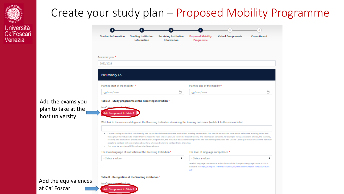

# Università<br>Ca'Foscari<br>Venezia

|                            |                                           |                                             |                                       |                           |            | Create your study plan – Proposed Mobility Programme |
|----------------------------|-------------------------------------------|---------------------------------------------|---------------------------------------|---------------------------|------------|------------------------------------------------------|
| <b>Student Information</b> | <b>Sending Institution</b><br>Information | <b>Receiving Institution</b><br>Information | <b>Proposed Mobility</b><br>Programme | <b>Virtual Components</b> | Commitment |                                                      |

|                      | Academic year *                                                                                                                                                                                                                                                                                                                              |  |                                                                                                                                                                                                                                                                                                                                                                            |   |  |  |  |  |  |
|----------------------|----------------------------------------------------------------------------------------------------------------------------------------------------------------------------------------------------------------------------------------------------------------------------------------------------------------------------------------------|--|----------------------------------------------------------------------------------------------------------------------------------------------------------------------------------------------------------------------------------------------------------------------------------------------------------------------------------------------------------------------------|---|--|--|--|--|--|
|                      | 2022/2023                                                                                                                                                                                                                                                                                                                                    |  |                                                                                                                                                                                                                                                                                                                                                                            |   |  |  |  |  |  |
|                      | <b>Preliminary LA</b>                                                                                                                                                                                                                                                                                                                        |  |                                                                                                                                                                                                                                                                                                                                                                            |   |  |  |  |  |  |
|                      | Planned start of the mobility *                                                                                                                                                                                                                                                                                                              |  | Planned end of the mobility *                                                                                                                                                                                                                                                                                                                                              |   |  |  |  |  |  |
|                      | □<br>gg/mm/aaaa                                                                                                                                                                                                                                                                                                                              |  | gg/mm/aaaa                                                                                                                                                                                                                                                                                                                                                                 | ▭ |  |  |  |  |  |
| Add the exams you    | Table A - Study programme at the Receiving institution *                                                                                                                                                                                                                                                                                     |  |                                                                                                                                                                                                                                                                                                                                                                            |   |  |  |  |  |  |
| plan to take at the  | No Comp<br><b>Add Component to Table</b>                                                                                                                                                                                                                                                                                                     |  |                                                                                                                                                                                                                                                                                                                                                                            |   |  |  |  |  |  |
| host university      |                                                                                                                                                                                                                                                                                                                                              |  |                                                                                                                                                                                                                                                                                                                                                                            |   |  |  |  |  |  |
|                      | Web link to the course catalogue at the Receiving Institution describing the learning outcomes: [web link to the relevant info]                                                                                                                                                                                                              |  |                                                                                                                                                                                                                                                                                                                                                                            |   |  |  |  |  |  |
|                      | . Course catalogue: detailed, user-friendly and up-to-date information on the institution's learning environment that should be awailable to students before the mobility period and<br>people to contact, with information about how, when and where to contact them. Show less<br>This must be an external URL such as http://exomple.com. |  | throughout their studies to enable them to make the right choices and use their time most efficiently. The information concerns, for example, the qualifications offered, the learning,<br>teaching and assessment procedures, the level of programmes, the individual educational components and the learning resources. The Course Catalogue should include the names of |   |  |  |  |  |  |
|                      | The main language of instruction at the Receiving Institution *                                                                                                                                                                                                                                                                              |  | The level of language competence *                                                                                                                                                                                                                                                                                                                                         |   |  |  |  |  |  |
|                      | ÷<br>- Select a value -                                                                                                                                                                                                                                                                                                                      |  | - Select a value -                                                                                                                                                                                                                                                                                                                                                         | ÷ |  |  |  |  |  |
|                      |                                                                                                                                                                                                                                                                                                                                              |  | Level of language competence: a description of the European Language Levels (CEFR) is<br>available at: https://europass.cedefop.europa.eu/en/resources/european-language-levels-<br>cefr                                                                                                                                                                                   |   |  |  |  |  |  |
|                      | Table B - Recognition at the Sending institution                                                                                                                                                                                                                                                                                             |  |                                                                                                                                                                                                                                                                                                                                                                            |   |  |  |  |  |  |
| Add the equivalences | No Comey                                                                                                                                                                                                                                                                                                                                     |  |                                                                                                                                                                                                                                                                                                                                                                            |   |  |  |  |  |  |
| at Ca' Foscari       | Add Component to Table B                                                                                                                                                                                                                                                                                                                     |  |                                                                                                                                                                                                                                                                                                                                                                            |   |  |  |  |  |  |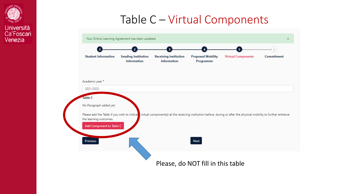

## Table C – Virtual Components

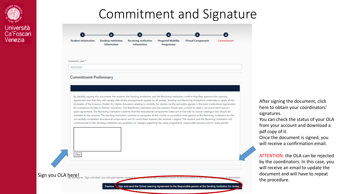





#### **Commitment Preliminary**

By digitally signing this document, the student, the Sending Institution and the Receiving Institution confirm that they approve the Learning Agreement and that they will comply with all the arrangements agreed by all parties. Sending and Receiving Institutions undertake to apply all the principles of the Erasmus Charter for Higher Education relating to mobility for studies (or the principles agreed in the Inter-Institutional Agreement for institutions located in Partner Countries). The Beneficiary Institution and the student should also commit to what is set out in the Erasmus+ grant agreement. The Receiving Institution confirms that the educational components listed are in line with its course catalogue and should be available to the student. The Sending Institution commits to recognise all the credits or equivalent units gained at the Receiving Institution for the successfully completed educational components and to count them towards the student's degree. The student and the Receiving Institution will communicate to the Sending Institution any problems or changes regarding the study programme, responsible persons and/or study period.

After signing the document, click here to obtain your coordinators' signatures.

You can check the status of your OLA from your account and download a pdf copy of it.

Once the document is signed, you will receive a confirmation email.

ATTENTION: the OLA can be rejected by the coordinators. In this case, you will receive an email to update the document and will have to repeat the procedure.

Sign you OLA here! on "Sign and send" you also give expr

Clear

Sign and send the Online Learning Agreement to the Responsible person at the Sending Institution for review **Previous** 

of destination.